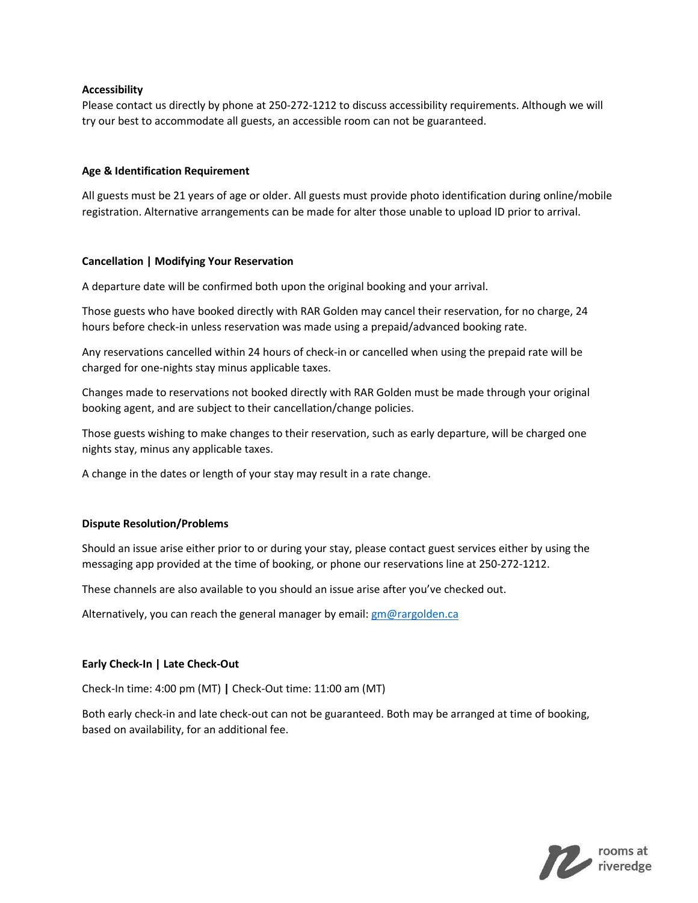## **Accessibility**

Please contact us directly by phone at 250-272-1212 to discuss accessibility requirements. Although we will try our best to accommodate all guests, an accessible room can not be guaranteed.

## **Age & Identification Requirement**

All guests must be 21 years of age or older. All guests must provide photo identification during online/mobile registration. Alternative arrangements can be made for alter those unable to upload ID prior to arrival.

## **Cancellation | Modifying Your Reservation**

A departure date will be confirmed both upon the original booking and your arrival.

Those guests who have booked directly with RAR Golden may cancel their reservation, for no charge, 24 hours before check-in unless reservation was made using a prepaid/advanced booking rate.

Any reservations cancelled within 24 hours of check-in or cancelled when using the prepaid rate will be charged for one-nights stay minus applicable taxes.

Changes made to reservations not booked directly with RAR Golden must be made through your original booking agent, and are subject to their cancellation/change policies.

Those guests wishing to make changes to their reservation, such as early departure, will be charged one nights stay, minus any applicable taxes.

A change in the dates or length of your stay may result in a rate change.

## **Dispute Resolution/Problems**

Should an issue arise either prior to or during your stay, please contact guest services either by using the messaging app provided at the time of booking, or phone our reservations line at 250-272-1212.

These channels are also available to you should an issue arise after you've checked out.

Alternatively, you can reach the general manager by email[: gm@rargolden.ca](mailto:gm@rargolden.ca)

# **Early Check-In | Late Check-Out**

Check-In time: 4:00 pm (MT) **|** Check-Out time: 11:00 am (MT)

Both early check-in and late check-out can not be guaranteed. Both may be arranged at time of booking, based on availability, for an additional fee.